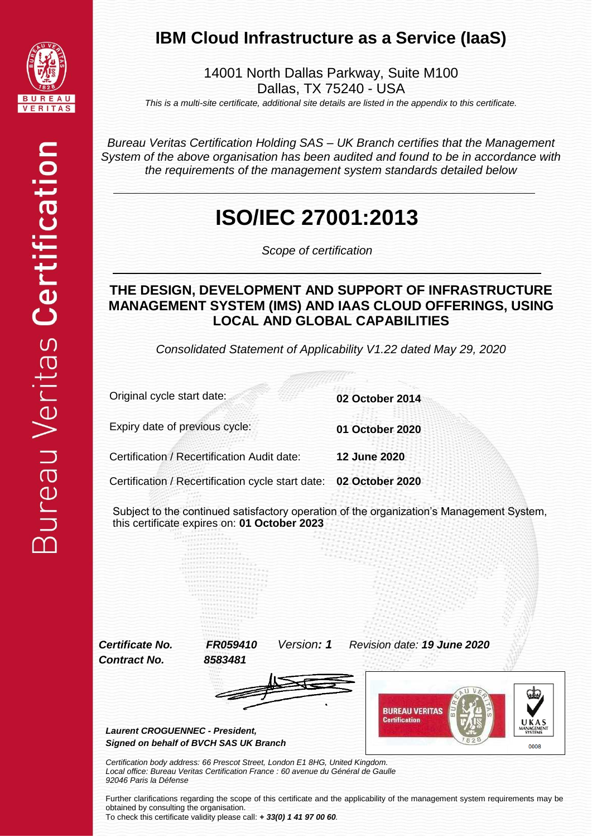

#### **IBM Cloud Infrastructure as a Service (IaaS)**

14001 North Dallas Parkway, Suite M100 Dallas, TX 75240 - USA

*This is a multi-site certificate, additional site details are listed in the appendix to this certificate.*

*Bureau Veritas Certification Holding SAS – UK Branch certifies that the Management System of the above organisation has been audited and found to be in accordance with the requirements of the management system standards detailed below*

### **ISO/IEC 27001:2013**

*Scope of certification*

#### **THE DESIGN, DEVELOPMENT AND SUPPORT OF INFRASTRUCTURE MANAGEMENT SYSTEM (IMS) AND IAAS CLOUD OFFERINGS, USING LOCAL AND GLOBAL CAPABILITIES**

*Consolidated Statement of Applicability V1.22 dated May 29, 2020*

Original cycle start date: **02 October 2014**

Expiry date of previous cycle: **01 October 2020**

Certification / Recertification Audit date: **12 June 2020**

Certification / Recertification cycle start date: **02 October 2020**

Subject to the continued satisfactory operation of the organization's Management System, this certificate expires on: **01 October 2023**

*Contract No. 8583481*

*Certificate No. FR059410 Version: 1 Revision date: 19 June 2020*





*Laurent CROGUENNEC - President, Signed on behalf of BVCH SAS UK Branch*

*Certification body address: 66 Prescot Street, London E1 8HG, United Kingdom. Local office: Bureau Veritas Certification France : 60 avenue du Général de Gaulle 92046 Paris la Défense*

Further clarifications regarding the scope of this certificate and the applicability of the management system requirements may be obtained by consulting the organisation. To check this certificate validity please call: *+ 33(0) 1 41 97 00 60.*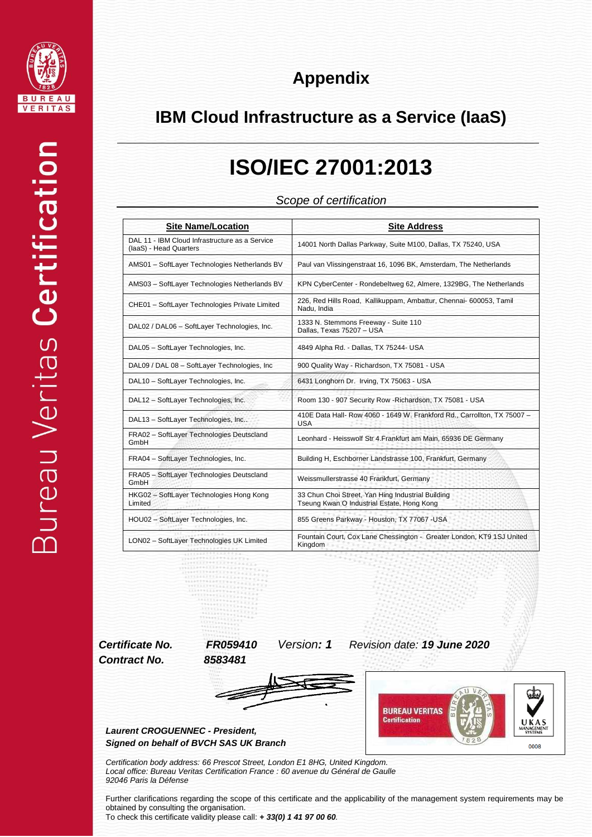



#### **IBM Cloud Infrastructure as a Service (IaaS)**

## **ISO/IEC 27001:2013**

*Scope of certification*

| <b>Site Name/Location</b>                                                | <b>Site Address</b>                                                                             |  |  |  |
|--------------------------------------------------------------------------|-------------------------------------------------------------------------------------------------|--|--|--|
| DAL 11 - IBM Cloud Infrastructure as a Service<br>(laaS) - Head Quarters | 14001 North Dallas Parkway, Suite M100, Dallas, TX 75240, USA                                   |  |  |  |
| AMS01 - SoftLayer Technologies Netherlands BV                            | Paul van Vlissingenstraat 16, 1096 BK, Amsterdam, The Netherlands                               |  |  |  |
| AMS03 - SoftLayer Technologies Netherlands BV                            | KPN CyberCenter - Rondebeltweg 62, Almere, 1329BG, The Netherlands                              |  |  |  |
| CHE01 - SoftLayer Technologies Private Limited                           | 226, Red Hills Road, Kallikuppam, Ambattur, Chennai- 600053, Tamil<br>Nadu, India               |  |  |  |
| DAL02 / DAL06 - SoftLayer Technologies, Inc.                             | 1333 N. Stemmons Freeway - Suite 110<br>Dallas. Texas 75207 - USA                               |  |  |  |
| DAL05 - SoftLayer Technologies, Inc.                                     | 4849 Alpha Rd. - Dallas, TX 75244- USA                                                          |  |  |  |
| DAL09 / DAL 08 - SoftLayer Technologies, Inc.                            | 900 Quality Way - Richardson, TX 75081 - USA                                                    |  |  |  |
| DAL10 - SoftLayer Technologies, Inc.                                     | 6431 Longhorn Dr. Irving, TX 75063 - USA                                                        |  |  |  |
| DAL12 - SoftLayer Technologies, Inc.                                     | Room 130 - 907 Security Row - Richardson, TX 75081 - USA                                        |  |  |  |
| DAL13 - SoftLayer Technologies, Inc                                      | 410E Data Hall- Row 4060 - 1649 W. Frankford Rd., Carrollton, TX 75007 -<br><b>USA</b>          |  |  |  |
| FRA02 - SoftLayer Technologies Deutscland<br>GmbH                        | Leonhard - Heisswolf Str 4. Frankfurt am Main, 65936 DE Germany                                 |  |  |  |
| FRA04 - SoftLayer Technologies, Inc.                                     | Building H, Eschborner Landstrasse 100, Frankfurt, Germany                                      |  |  |  |
| FRA05 - SoftLayer Technologies Deutscland<br>GmbH                        | Weissmullerstrasse 40 Frankfurt, Germany                                                        |  |  |  |
| HKG02 - SoftLayer Technologies Hong Kong<br>Limited                      | 33 Chun Choi Street, Yan Hing Industrial Building<br>Tseung Kwan O Industrial Estate, Hong Kong |  |  |  |
| HOU02 - SoftLayer Technologies, Inc.                                     | 855 Greens Parkway - Houston, TX 77067 -USA                                                     |  |  |  |
| LON02 - SoftLayer Technologies UK Limited                                | Fountain Court, Cox Lane Chessington - Greater London, KT9 1SJ United<br>Kingdom                |  |  |  |

*Contract No. 8583481*

*Certificate No. FR059410 Version: 1 Revision date: 19 June 2020*





*Laurent CROGUENNEC - President, Signed on behalf of BVCH SAS UK Branch*

*Certification body address: 66 Prescot Street, London E1 8HG, United Kingdom. Local office: Bureau Veritas Certification France : 60 avenue du Général de Gaulle 92046 Paris la Défense*

Further clarifications regarding the scope of this certificate and the applicability of the management system requirements may be obtained by consulting the organisation. To check this certificate validity please call: *+ 33(0) 1 41 97 00 60.*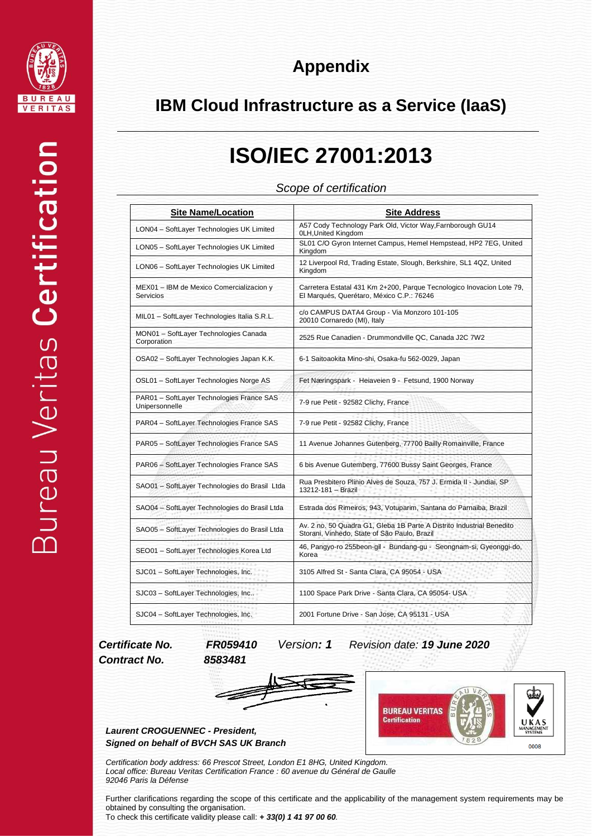

| <b>Appendix</b> |  |  |
|-----------------|--|--|
|                 |  |  |

#### **IBM Cloud Infrastructure as a Service (IaaS)**

### **ISO/IEC 27001:2013**

*Scope of certification*

| <b>Site Name/Location</b>                                    | <b>Site Address</b>                                                                                                   |
|--------------------------------------------------------------|-----------------------------------------------------------------------------------------------------------------------|
| LON04 - SoftLayer Technologies UK Limited                    | A57 Cody Technology Park Old, Victor Way, Farnborough GU14<br>0LH, United Kingdom                                     |
| LON05 - SoftLayer Technologies UK Limited                    | SL01 C/O Gyron Internet Campus, Hemel Hempstead, HP2 7EG, United<br>Kingdom                                           |
| LON06 - SoftLayer Technologies UK Limited                    | 12 Liverpool Rd, Trading Estate, Slough, Berkshire, SL1 4QZ, United<br>Kingdom                                        |
| MEX01 - IBM de Mexico Comercializacion y<br><b>Servicios</b> | Carretera Estatal 431 Km 2+200, Parque Tecnologico Inovacion Lote 79,<br>El Marqués, Querétaro, México C.P.: 76246    |
| MIL01 - SoftLayer Technologies Italia S.R.L.                 | c/o CAMPUS DATA4 Group - Via Monzoro 101-105<br>20010 Cornaredo (MI), Italy                                           |
| MON01 - SoftLayer Technologies Canada<br>Corporation         | 2525 Rue Canadien - Drummondville QC, Canada J2C 7W2                                                                  |
| OSA02 - SoftLayer Technologies Japan K.K.                    | 6-1 Saitoaokita Mino-shi, Osaka-fu 562-0029, Japan                                                                    |
| OSL01 - SoftLayer Technologies Norge AS                      | Fet Næringspark - Heiaveien 9 - Fetsund, 1900 Norway                                                                  |
| PAR01 - SoftLayer Technologies France SAS<br>Unipersonnelle  | 7-9 rue Petit - 92582 Clichy, France                                                                                  |
| PAR04 - SoftLayer Technologies France SAS                    | 7-9 rue Petit - 92582 Clichy, France                                                                                  |
| PAR05 - SoftLayer Technologies France SAS                    | 11 Avenue Johannes Gutenberg, 77700 Bailly Romainville, France                                                        |
| PAR06 - SoftLayer Technologies France SAS                    | 6 bis Avenue Gutemberg, 77600 Bussy Saint Georges, France                                                             |
| SAO01 - SoftLayer Technologies do Brasil Ltda                | Rua Presbitero Plinio Alves de Souza, 757 J. Ermida II - Jundiai, SP<br>13212-181 - Brazil                            |
| SAO04 - SoftLayer Technologies do Brasil Ltda                | Estrada dos Rimeiros, 943, Votuparim, Santana do Parnaiba, Brazil                                                     |
| SAO05 - SoftLayer Technologies do Brasil Ltda                | Av. 2 no. 50 Quadra G1, Gleba 1B Parte A Distrito Industrial Benedito<br>Storani, Vinhedo, State of São Paulo, Brazil |
| SEO01 - SoftLayer Technologies Korea Ltd                     | 46, Pangyo-ro 255beon-gil - Bundang-gu - Seongnam-si, Gyeonggi-do,<br>Korea<br>$-4.4 + 6.4$                           |
| SJC01 - SoftLayer Technologies, Inc.                         | 3105 Alfred St - Santa Clara, CA 95054 - USA                                                                          |
| SJC03 - SoftLayer Technologies, Inc                          | 1100 Space Park Drive - Santa Clara, CA 95054- USA                                                                    |
| SJC04 - SoftLayer Technologies, Inc.                         | 2001 Fortune Drive - San Jose, CA 95131 - USA                                                                         |

# *Contract No. 8583481*

*Certificate No. FR059410 Version: 1 Revision date: 19 June 2020*



*Laurent CROGUENNEC - President, Signed on behalf of BVCH SAS UK Branch*

*Certification body address: 66 Prescot Street, London E1 8HG, United Kingdom. Local office: Bureau Veritas Certification France : 60 avenue du Général de Gaulle 92046 Paris la Défense*

Further clarifications regarding the scope of this certificate and the applicability of the management system requirements may be obtained by consulting the organisation.

To check this certificate validity please call: *+ 33(0) 1 41 97 00 60.*